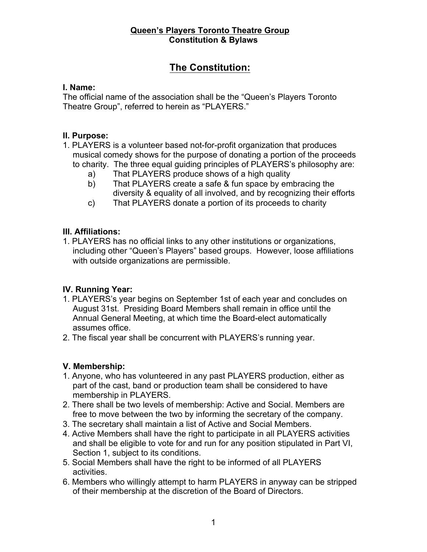# **The Constitution:**

#### **I. Name:**

The official name of the association shall be the "Queen's Players Toronto Theatre Group", referred to herein as "PLAYERS."

### **II. Purpose:**

- 1. PLAYERS is a volunteer based not-for-profit organization that produces musical comedy shows for the purpose of donating a portion of the proceeds to charity. The three equal guiding principles of PLAYERS's philosophy are:
	- a) That PLAYERS produce shows of a high quality
	- b) That PLAYERS create a safe & fun space by embracing the diversity & equality of all involved, and by recognizing their efforts
	- c) That PLAYERS donate a portion of its proceeds to charity

### **III. Affiliations:**

1. PLAYERS has no official links to any other institutions or organizations, including other "Queen's Players" based groups. However, loose affiliations with outside organizations are permissible.

# **IV. Running Year:**

- 1. PLAYERS's year begins on September 1st of each year and concludes on August 31st. Presiding Board Members shall remain in office until the Annual General Meeting, at which time the Board-elect automatically assumes office.
- 2. The fiscal year shall be concurrent with PLAYERS's running year.

# **V. Membership:**

- 1. Anyone, who has volunteered in any past PLAYERS production, either as part of the cast, band or production team shall be considered to have membership in PLAYERS.
- 2. There shall be two levels of membership: Active and Social. Members are free to move between the two by informing the secretary of the company.
- 3. The secretary shall maintain a list of Active and Social Members.
- 4. Active Members shall have the right to participate in all PLAYERS activities and shall be eligible to vote for and run for any position stipulated in Part VI, Section 1, subject to its conditions.
- 5. Social Members shall have the right to be informed of all PLAYERS activities.
- 6. Members who willingly attempt to harm PLAYERS in anyway can be stripped of their membership at the discretion of the Board of Directors.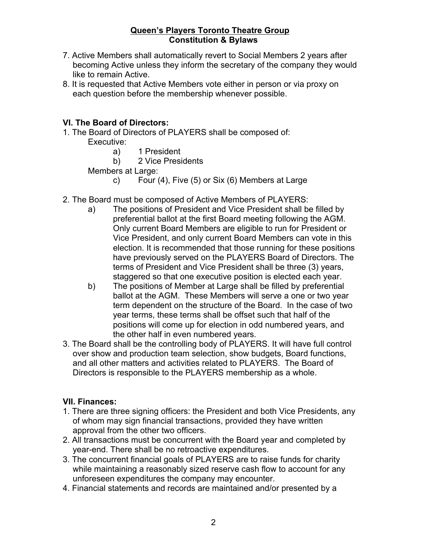- 7. Active Members shall automatically revert to Social Members 2 years after becoming Active unless they inform the secretary of the company they would like to remain Active.
- 8. It is requested that Active Members vote either in person or via proxy on each question before the membership whenever possible.

### **VI. The Board of Directors:**

- 1. The Board of Directors of PLAYERS shall be composed of:
	- Executive:
		- a) 1 President
		- b) 2 Vice Presidents
	- Members at Large:
		- c) Four (4), Five (5) or Six (6) Members at Large
- 2. The Board must be composed of Active Members of PLAYERS:
	- a) The positions of President and Vice President shall be filled by preferential ballot at the first Board meeting following the AGM. Only current Board Members are eligible to run for President or Vice President, and only current Board Members can vote in this election. It is recommended that those running for these positions have previously served on the PLAYERS Board of Directors. The terms of President and Vice President shall be three (3) years, staggered so that one executive position is elected each year.
	- b) The positions of Member at Large shall be filled by preferential ballot at the AGM. These Members will serve a one or two year term dependent on the structure of the Board. In the case of two year terms, these terms shall be offset such that half of the positions will come up for election in odd numbered years, and the other half in even numbered years.
- 3. The Board shall be the controlling body of PLAYERS. It will have full control over show and production team selection, show budgets, Board functions, and all other matters and activities related to PLAYERS. The Board of Directors is responsible to the PLAYERS membership as a whole.

#### **VII. Finances:**

- 1. There are three signing officers: the President and both Vice Presidents, any of whom may sign financial transactions, provided they have written approval from the other two officers.
- 2. All transactions must be concurrent with the Board year and completed by year-end. There shall be no retroactive expenditures.
- 3. The concurrent financial goals of PLAYERS are to raise funds for charity while maintaining a reasonably sized reserve cash flow to account for any unforeseen expenditures the company may encounter.
- 4. Financial statements and records are maintained and/or presented by a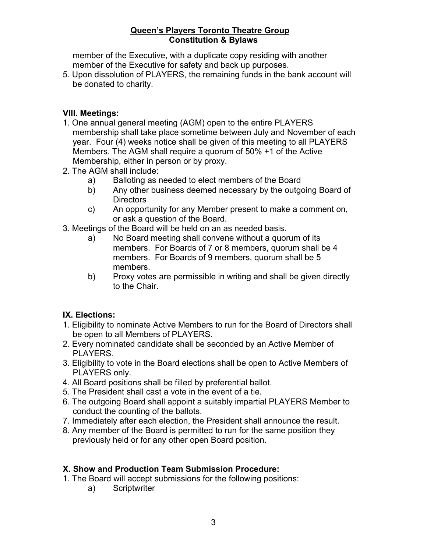member of the Executive, with a duplicate copy residing with another member of the Executive for safety and back up purposes.

5. Upon dissolution of PLAYERS, the remaining funds in the bank account will be donated to charity.

### **VIII. Meetings:**

- 1. One annual general meeting (AGM) open to the entire PLAYERS membership shall take place sometime between July and November of each year. Four (4) weeks notice shall be given of this meeting to all PLAYERS Members. The AGM shall require a quorum of 50% +1 of the Active Membership, either in person or by proxy.
- 2. The AGM shall include:
	- a) Balloting as needed to elect members of the Board
	- b) Any other business deemed necessary by the outgoing Board of **Directors**
	- c) An opportunity for any Member present to make a comment on, or ask a question of the Board.
- 3. Meetings of the Board will be held on an as needed basis.
	- a) No Board meeting shall convene without a quorum of its members. For Boards of 7 or 8 members, quorum shall be 4 members. For Boards of 9 members, quorum shall be 5 members.
	- b) Proxy votes are permissible in writing and shall be given directly to the Chair.

#### **IX. Elections:**

- 1. Eligibility to nominate Active Members to run for the Board of Directors shall be open to all Members of PLAYERS.
- 2. Every nominated candidate shall be seconded by an Active Member of PLAYERS.
- 3. Eligibility to vote in the Board elections shall be open to Active Members of PLAYERS only.
- 4. All Board positions shall be filled by preferential ballot.
- 5. The President shall cast a vote in the event of a tie.
- 6. The outgoing Board shall appoint a suitably impartial PLAYERS Member to conduct the counting of the ballots.
- 7. Immediately after each election, the President shall announce the result.
- 8. Any member of the Board is permitted to run for the same position they previously held or for any other open Board position.

#### **X. Show and Production Team Submission Procedure:**

- 1. The Board will accept submissions for the following positions:
	- a) Scriptwriter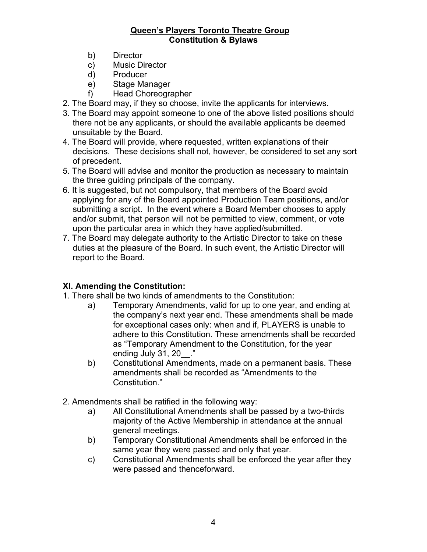- b) Director
- c) Music Director
- d) Producer
- e) Stage Manager
- f) Head Choreographer
- 2. The Board may, if they so choose, invite the applicants for interviews.
- 3. The Board may appoint someone to one of the above listed positions should there not be any applicants, or should the available applicants be deemed unsuitable by the Board.
- 4. The Board will provide, where requested, written explanations of their decisions. These decisions shall not, however, be considered to set any sort of precedent.
- 5. The Board will advise and monitor the production as necessary to maintain the three guiding principals of the company.
- 6. It is suggested, but not compulsory, that members of the Board avoid applying for any of the Board appointed Production Team positions, and/or submitting a script. In the event where a Board Member chooses to apply and/or submit, that person will not be permitted to view, comment, or vote upon the particular area in which they have applied/submitted.
- 7. The Board may delegate authority to the Artistic Director to take on these duties at the pleasure of the Board. In such event, the Artistic Director will report to the Board.

### **XI. Amending the Constitution:**

1. There shall be two kinds of amendments to the Constitution:

- a) Temporary Amendments, valid for up to one year, and ending at the company's next year end. These amendments shall be made for exceptional cases only: when and if, PLAYERS is unable to adhere to this Constitution. These amendments shall be recorded as "Temporary Amendment to the Constitution, for the year ending July 31, 20 ."
- b) Constitutional Amendments, made on a permanent basis. These amendments shall be recorded as "Amendments to the Constitution."
- 2. Amendments shall be ratified in the following way:
	- a) All Constitutional Amendments shall be passed by a two-thirds majority of the Active Membership in attendance at the annual general meetings.
	- b) Temporary Constitutional Amendments shall be enforced in the same year they were passed and only that year.
	- c) Constitutional Amendments shall be enforced the year after they were passed and thenceforward.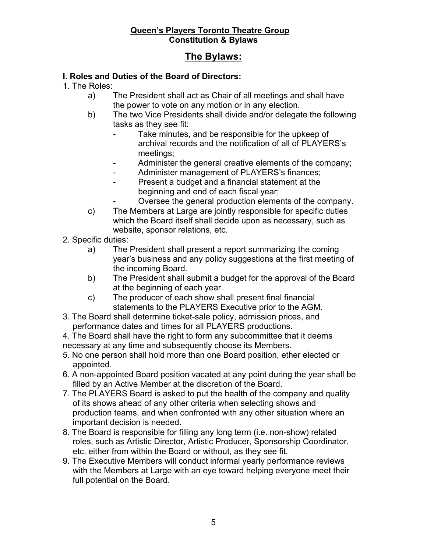# **The Bylaws:**

### **I. Roles and Duties of the Board of Directors:**

1. The Roles:

- a) The President shall act as Chair of all meetings and shall have the power to vote on any motion or in any election.
- b) The two Vice Presidents shall divide and/or delegate the following tasks as they see fit:
	- Take minutes, and be responsible for the upkeep of archival records and the notification of all of PLAYERS's meetings;
	- Administer the general creative elements of the company;
	- Administer management of PLAYERS's finances;
		- Present a budget and a financial statement at the beginning and end of each fiscal year;
			- Oversee the general production elements of the company.
- c) The Members at Large are jointly responsible for specific duties which the Board itself shall decide upon as necessary, such as website, sponsor relations, etc.
- 2. Specific duties:
	- a) The President shall present a report summarizing the coming year's business and any policy suggestions at the first meeting of the incoming Board.
	- b) The President shall submit a budget for the approval of the Board at the beginning of each year.
	- c) The producer of each show shall present final financial statements to the PLAYERS Executive prior to the AGM.
- 3. The Board shall determine ticket-sale policy, admission prices, and performance dates and times for all PLAYERS productions.

4. The Board shall have the right to form any subcommittee that it deems necessary at any time and subsequently choose its Members.

- 5. No one person shall hold more than one Board position, ether elected or appointed.
- 6. A non-appointed Board position vacated at any point during the year shall be filled by an Active Member at the discretion of the Board.
- 7. The PLAYERS Board is asked to put the health of the company and quality of its shows ahead of any other criteria when selecting shows and production teams, and when confronted with any other situation where an important decision is needed.
- 8. The Board is responsible for filling any long term (i.e. non-show) related roles, such as Artistic Director, Artistic Producer, Sponsorship Coordinator, etc. either from within the Board or without, as they see fit.
- 9. The Executive Members will conduct informal yearly performance reviews with the Members at Large with an eye toward helping everyone meet their full potential on the Board.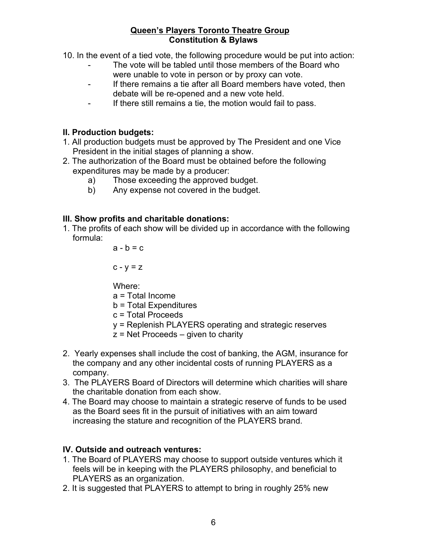10. In the event of a tied vote, the following procedure would be put into action:

- The vote will be tabled until those members of the Board who were unable to vote in person or by proxy can vote.
- If there remains a tie after all Board members have voted, then debate will be re-opened and a new vote held.
- If there still remains a tie, the motion would fail to pass.

### **II. Production budgets:**

- 1. All production budgets must be approved by The President and one Vice President in the initial stages of planning a show.
- 2. The authorization of the Board must be obtained before the following expenditures may be made by a producer:
	- a) Those exceeding the approved budget.
	- b) Any expense not covered in the budget.

### **III. Show profits and charitable donations:**

1. The profits of each show will be divided up in accordance with the following formula:

 $a - b = c$ 

 $c - v = z$ 

Where:

- a = Total Income
- b = Total Expenditures
- c = Total Proceeds
- y = Replenish PLAYERS operating and strategic reserves
- $z$  = Net Proceeds  $-$  given to charity
- 2. Yearly expenses shall include the cost of banking, the AGM, insurance for the company and any other incidental costs of running PLAYERS as a company.
- 3. The PLAYERS Board of Directors will determine which charities will share the charitable donation from each show.
- 4. The Board may choose to maintain a strategic reserve of funds to be used as the Board sees fit in the pursuit of initiatives with an aim toward increasing the stature and recognition of the PLAYERS brand.

### **IV. Outside and outreach ventures:**

- 1. The Board of PLAYERS may choose to support outside ventures which it feels will be in keeping with the PLAYERS philosophy, and beneficial to PLAYERS as an organization.
- 2. It is suggested that PLAYERS to attempt to bring in roughly 25% new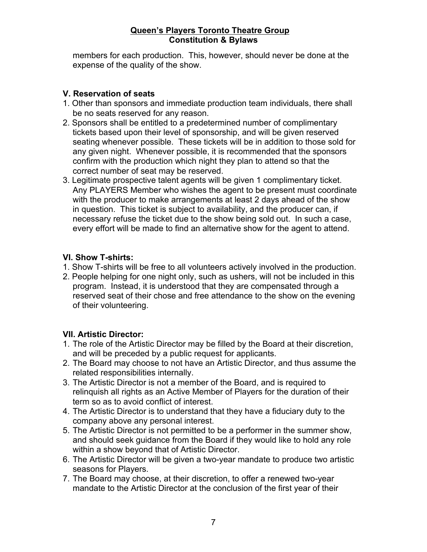members for each production. This, however, should never be done at the expense of the quality of the show.

### **V. Reservation of seats**

- 1. Other than sponsors and immediate production team individuals, there shall be no seats reserved for any reason.
- 2. Sponsors shall be entitled to a predetermined number of complimentary tickets based upon their level of sponsorship, and will be given reserved seating whenever possible. These tickets will be in addition to those sold for any given night. Whenever possible, it is recommended that the sponsors confirm with the production which night they plan to attend so that the correct number of seat may be reserved.
- 3. Legitimate prospective talent agents will be given 1 complimentary ticket. Any PLAYERS Member who wishes the agent to be present must coordinate with the producer to make arrangements at least 2 days ahead of the show in question. This ticket is subject to availability, and the producer can, if necessary refuse the ticket due to the show being sold out. In such a case, every effort will be made to find an alternative show for the agent to attend.

### **VI. Show T-shirts:**

- 1. Show T-shirts will be free to all volunteers actively involved in the production.
- 2. People helping for one night only, such as ushers, will not be included in this program. Instead, it is understood that they are compensated through a reserved seat of their chose and free attendance to the show on the evening of their volunteering.

### **VII. Artistic Director:**

- 1. The role of the Artistic Director may be filled by the Board at their discretion, and will be preceded by a public request for applicants.
- 2. The Board may choose to not have an Artistic Director, and thus assume the related responsibilities internally.
- 3. The Artistic Director is not a member of the Board, and is required to relinquish all rights as an Active Member of Players for the duration of their term so as to avoid conflict of interest.
- 4. The Artistic Director is to understand that they have a fiduciary duty to the company above any personal interest.
- 5. The Artistic Director is not permitted to be a performer in the summer show, and should seek guidance from the Board if they would like to hold any role within a show beyond that of Artistic Director.
- 6. The Artistic Director will be given a two-year mandate to produce two artistic seasons for Players.
- 7. The Board may choose, at their discretion, to offer a renewed two-year mandate to the Artistic Director at the conclusion of the first year of their